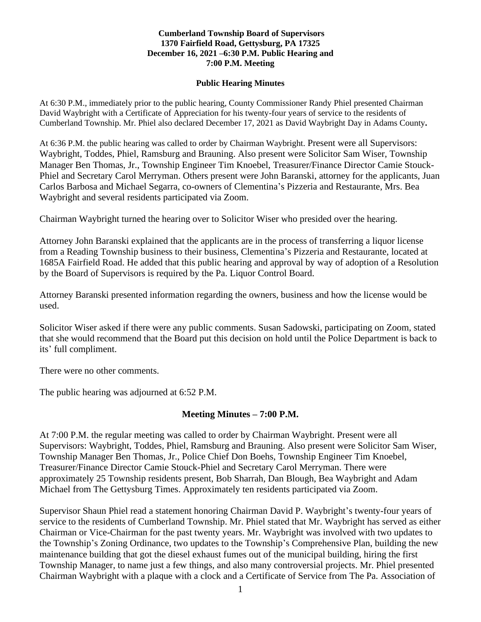#### **Cumberland Township Board of Supervisors 1370 Fairfield Road, Gettysburg, PA 17325 December 16, 2021 –6:30 P.M. Public Hearing and 7:00 P.M. Meeting**

#### **Public Hearing Minutes**

At 6:30 P.M., immediately prior to the public hearing, County Commissioner Randy Phiel presented Chairman David Waybright with a Certificate of Appreciation for his twenty-four years of service to the residents of Cumberland Township. Mr. Phiel also declared December 17, 2021 as David Waybright Day in Adams County**.** 

At 6:36 P.M. the public hearing was called to order by Chairman Waybright. Present were all Supervisors: Waybright, Toddes, Phiel, Ramsburg and Brauning. Also present were Solicitor Sam Wiser, Township Manager Ben Thomas, Jr., Township Engineer Tim Knoebel, Treasurer/Finance Director Camie Stouck-Phiel and Secretary Carol Merryman. Others present were John Baranski, attorney for the applicants, Juan Carlos Barbosa and Michael Segarra, co-owners of Clementina's Pizzeria and Restaurante, Mrs. Bea Waybright and several residents participated via Zoom.

Chairman Waybright turned the hearing over to Solicitor Wiser who presided over the hearing.

Attorney John Baranski explained that the applicants are in the process of transferring a liquor license from a Reading Township business to their business, Clementina's Pizzeria and Restaurante, located at 1685A Fairfield Road. He added that this public hearing and approval by way of adoption of a Resolution by the Board of Supervisors is required by the Pa. Liquor Control Board.

Attorney Baranski presented information regarding the owners, business and how the license would be used.

Solicitor Wiser asked if there were any public comments. Susan Sadowski, participating on Zoom, stated that she would recommend that the Board put this decision on hold until the Police Department is back to its' full compliment.

There were no other comments.

The public hearing was adjourned at 6:52 P.M.

### **Meeting Minutes – 7:00 P.M.**

At 7:00 P.M. the regular meeting was called to order by Chairman Waybright. Present were all Supervisors: Waybright, Toddes, Phiel, Ramsburg and Brauning. Also present were Solicitor Sam Wiser, Township Manager Ben Thomas, Jr., Police Chief Don Boehs, Township Engineer Tim Knoebel, Treasurer/Finance Director Camie Stouck-Phiel and Secretary Carol Merryman. There were approximately 25 Township residents present, Bob Sharrah, Dan Blough, Bea Waybright and Adam Michael from The Gettysburg Times. Approximately ten residents participated via Zoom.

Supervisor Shaun Phiel read a statement honoring Chairman David P. Waybright's twenty-four years of service to the residents of Cumberland Township. Mr. Phiel stated that Mr. Waybright has served as either Chairman or Vice-Chairman for the past twenty years. Mr. Waybright was involved with two updates to the Township's Zoning Ordinance, two updates to the Township's Comprehensive Plan, building the new maintenance building that got the diesel exhaust fumes out of the municipal building, hiring the first Township Manager, to name just a few things, and also many controversial projects. Mr. Phiel presented Chairman Waybright with a plaque with a clock and a Certificate of Service from The Pa. Association of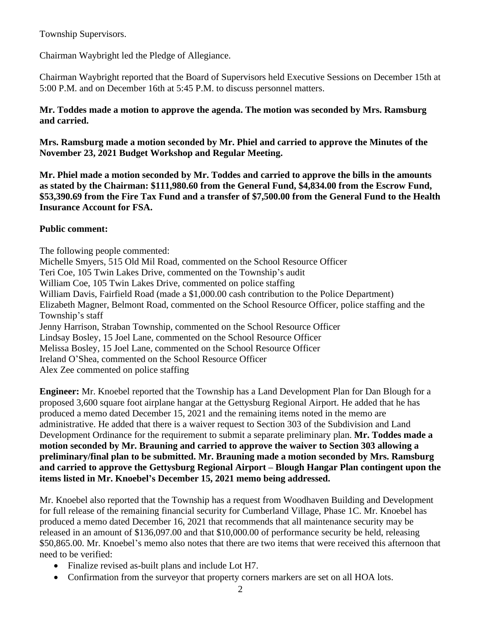Township Supervisors.

Chairman Waybright led the Pledge of Allegiance.

Chairman Waybright reported that the Board of Supervisors held Executive Sessions on December 15th at 5:00 P.M. and on December 16th at 5:45 P.M. to discuss personnel matters.

## **Mr. Toddes made a motion to approve the agenda. The motion was seconded by Mrs. Ramsburg and carried.**

**Mrs. Ramsburg made a motion seconded by Mr. Phiel and carried to approve the Minutes of the November 23, 2021 Budget Workshop and Regular Meeting.**

**Mr. Phiel made a motion seconded by Mr. Toddes and carried to approve the bills in the amounts as stated by the Chairman: \$111,980.60 from the General Fund, \$4,834.00 from the Escrow Fund, \$53,390.69 from the Fire Tax Fund and a transfer of \$7,500.00 from the General Fund to the Health Insurance Account for FSA.**

# **Public comment:**

The following people commented: Michelle Smyers, 515 Old Mil Road, commented on the School Resource Officer Teri Coe, 105 Twin Lakes Drive, commented on the Township's audit William Coe, 105 Twin Lakes Drive, commented on police staffing William Davis, Fairfield Road (made a \$1,000.00 cash contribution to the Police Department) Elizabeth Magner, Belmont Road, commented on the School Resource Officer, police staffing and the Township's staff Jenny Harrison, Straban Township, commented on the School Resource Officer Lindsay Bosley, 15 Joel Lane, commented on the School Resource Officer Melissa Bosley, 15 Joel Lane, commented on the School Resource Officer Ireland O'Shea, commented on the School Resource Officer Alex Zee commented on police staffing

**Engineer:** Mr. Knoebel reported that the Township has a Land Development Plan for Dan Blough for a proposed 3,600 square foot airplane hangar at the Gettysburg Regional Airport. He added that he has produced a memo dated December 15, 2021 and the remaining items noted in the memo are administrative. He added that there is a waiver request to Section 303 of the Subdivision and Land Development Ordinance for the requirement to submit a separate preliminary plan. **Mr. Toddes made a motion seconded by Mr. Brauning and carried to approve the waiver to Section 303 allowing a preliminary/final plan to be submitted. Mr. Brauning made a motion seconded by Mrs. Ramsburg and carried to approve the Gettysburg Regional Airport – Blough Hangar Plan contingent upon the items listed in Mr. Knoebel's December 15, 2021 memo being addressed.** 

Mr. Knoebel also reported that the Township has a request from Woodhaven Building and Development for full release of the remaining financial security for Cumberland Village, Phase 1C. Mr. Knoebel has produced a memo dated December 16, 2021 that recommends that all maintenance security may be released in an amount of \$136,097.00 and that \$10,000.00 of performance security be held, releasing \$50,865.00. Mr. Knoebel's memo also notes that there are two items that were received this afternoon that need to be verified:

- Finalize revised as-built plans and include Lot H7.
- Confirmation from the surveyor that property corners markers are set on all HOA lots.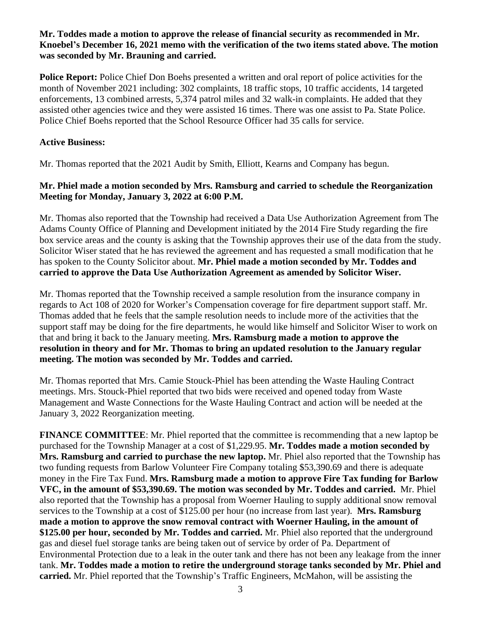## **Mr. Toddes made a motion to approve the release of financial security as recommended in Mr. Knoebel's December 16, 2021 memo with the verification of the two items stated above. The motion was seconded by Mr. Brauning and carried.**

**Police Report:** Police Chief Don Boehs presented a written and oral report of police activities for the month of November 2021 including: 302 complaints, 18 traffic stops, 10 traffic accidents, 14 targeted enforcements, 13 combined arrests, 5,374 patrol miles and 32 walk-in complaints. He added that they assisted other agencies twice and they were assisted 16 times. There was one assist to Pa. State Police. Police Chief Boehs reported that the School Resource Officer had 35 calls for service.

## **Active Business:**

Mr. Thomas reported that the 2021 Audit by Smith, Elliott, Kearns and Company has begun.

## **Mr. Phiel made a motion seconded by Mrs. Ramsburg and carried to schedule the Reorganization Meeting for Monday, January 3, 2022 at 6:00 P.M.**

Mr. Thomas also reported that the Township had received a Data Use Authorization Agreement from The Adams County Office of Planning and Development initiated by the 2014 Fire Study regarding the fire box service areas and the county is asking that the Township approves their use of the data from the study. Solicitor Wiser stated that he has reviewed the agreement and has requested a small modification that he has spoken to the County Solicitor about. **Mr. Phiel made a motion seconded by Mr. Toddes and carried to approve the Data Use Authorization Agreement as amended by Solicitor Wiser.**

Mr. Thomas reported that the Township received a sample resolution from the insurance company in regards to Act 108 of 2020 for Worker's Compensation coverage for fire department support staff. Mr. Thomas added that he feels that the sample resolution needs to include more of the activities that the support staff may be doing for the fire departments, he would like himself and Solicitor Wiser to work on that and bring it back to the January meeting. **Mrs. Ramsburg made a motion to approve the resolution in theory and for Mr. Thomas to bring an updated resolution to the January regular meeting. The motion was seconded by Mr. Toddes and carried.** 

Mr. Thomas reported that Mrs. Camie Stouck-Phiel has been attending the Waste Hauling Contract meetings. Mrs. Stouck-Phiel reported that two bids were received and opened today from Waste Management and Waste Connections for the Waste Hauling Contract and action will be needed at the January 3, 2022 Reorganization meeting.

**FINANCE COMMITTEE**: Mr. Phiel reported that the committee is recommending that a new laptop be purchased for the Township Manager at a cost of \$1,229.95. **Mr. Toddes made a motion seconded by Mrs. Ramsburg and carried to purchase the new laptop.** Mr. Phiel also reported that the Township has two funding requests from Barlow Volunteer Fire Company totaling \$53,390.69 and there is adequate money in the Fire Tax Fund. **Mrs. Ramsburg made a motion to approve Fire Tax funding for Barlow VFC, in the amount of \$53,390.69. The motion was seconded by Mr. Toddes and carried.** Mr. Phiel also reported that the Township has a proposal from Woerner Hauling to supply additional snow removal services to the Township at a cost of \$125.00 per hour (no increase from last year). **Mrs. Ramsburg made a motion to approve the snow removal contract with Woerner Hauling, in the amount of \$125.00 per hour, seconded by Mr. Toddes and carried.** Mr. Phiel also reported that the underground gas and diesel fuel storage tanks are being taken out of service by order of Pa. Department of Environmental Protection due to a leak in the outer tank and there has not been any leakage from the inner tank. **Mr. Toddes made a motion to retire the underground storage tanks seconded by Mr. Phiel and carried.** Mr. Phiel reported that the Township's Traffic Engineers, McMahon, will be assisting the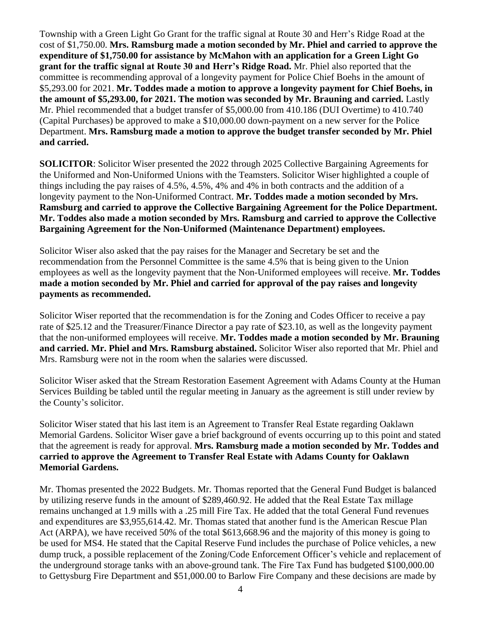Township with a Green Light Go Grant for the traffic signal at Route 30 and Herr's Ridge Road at the cost of \$1,750.00. **Mrs. Ramsburg made a motion seconded by Mr. Phiel and carried to approve the expenditure of \$1,750.00 for assistance by McMahon with an application for a Green Light Go grant for the traffic signal at Route 30 and Herr's Ridge Road.** Mr. Phiel also reported that the committee is recommending approval of a longevity payment for Police Chief Boehs in the amount of \$5,293.00 for 2021. **Mr. Toddes made a motion to approve a longevity payment for Chief Boehs, in the amount of \$5,293.00, for 2021. The motion was seconded by Mr. Brauning and carried.** Lastly Mr. Phiel recommended that a budget transfer of \$5,000.00 from 410.186 (DUI Overtime) to 410.740 (Capital Purchases) be approved to make a \$10,000.00 down-payment on a new server for the Police Department. **Mrs. Ramsburg made a motion to approve the budget transfer seconded by Mr. Phiel and carried.** 

**SOLICITOR**: Solicitor Wiser presented the 2022 through 2025 Collective Bargaining Agreements for the Uniformed and Non-Uniformed Unions with the Teamsters. Solicitor Wiser highlighted a couple of things including the pay raises of 4.5%, 4.5%, 4% and 4% in both contracts and the addition of a longevity payment to the Non-Uniformed Contract. **Mr. Toddes made a motion seconded by Mrs. Ramsburg and carried to approve the Collective Bargaining Agreement for the Police Department. Mr. Toddes also made a motion seconded by Mrs. Ramsburg and carried to approve the Collective Bargaining Agreement for the Non-Uniformed (Maintenance Department) employees.**

Solicitor Wiser also asked that the pay raises for the Manager and Secretary be set and the recommendation from the Personnel Committee is the same 4.5% that is being given to the Union employees as well as the longevity payment that the Non-Uniformed employees will receive. **Mr. Toddes made a motion seconded by Mr. Phiel and carried for approval of the pay raises and longevity payments as recommended.** 

Solicitor Wiser reported that the recommendation is for the Zoning and Codes Officer to receive a pay rate of \$25.12 and the Treasurer/Finance Director a pay rate of \$23.10, as well as the longevity payment that the non-uniformed employees will receive. **Mr. Toddes made a motion seconded by Mr. Brauning and carried. Mr. Phiel and Mrs. Ramsburg abstained.** Solicitor Wiser also reported that Mr. Phiel and Mrs. Ramsburg were not in the room when the salaries were discussed.

Solicitor Wiser asked that the Stream Restoration Easement Agreement with Adams County at the Human Services Building be tabled until the regular meeting in January as the agreement is still under review by the County's solicitor.

Solicitor Wiser stated that his last item is an Agreement to Transfer Real Estate regarding Oaklawn Memorial Gardens. Solicitor Wiser gave a brief background of events occurring up to this point and stated that the agreement is ready for approval. **Mrs. Ramsburg made a motion seconded by Mr. Toddes and carried to approve the Agreement to Transfer Real Estate with Adams County for Oaklawn Memorial Gardens.**

Mr. Thomas presented the 2022 Budgets. Mr. Thomas reported that the General Fund Budget is balanced by utilizing reserve funds in the amount of \$289,460.92. He added that the Real Estate Tax millage remains unchanged at 1.9 mills with a .25 mill Fire Tax. He added that the total General Fund revenues and expenditures are \$3,955,614.42. Mr. Thomas stated that another fund is the American Rescue Plan Act (ARPA), we have received 50% of the total \$613,668.96 and the majority of this money is going to be used for MS4. He stated that the Capital Reserve Fund includes the purchase of Police vehicles, a new dump truck, a possible replacement of the Zoning/Code Enforcement Officer's vehicle and replacement of the underground storage tanks with an above-ground tank. The Fire Tax Fund has budgeted \$100,000.00 to Gettysburg Fire Department and \$51,000.00 to Barlow Fire Company and these decisions are made by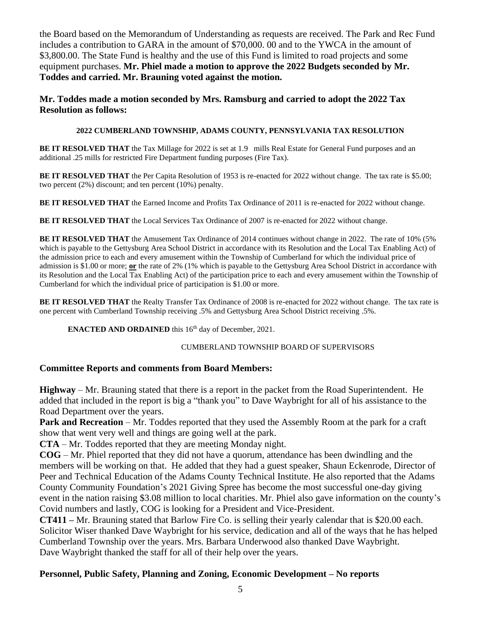the Board based on the Memorandum of Understanding as requests are received. The Park and Rec Fund includes a contribution to GARA in the amount of \$70,000. 00 and to the YWCA in the amount of \$3,800.00. The State Fund is healthy and the use of this Fund is limited to road projects and some equipment purchases. **Mr. Phiel made a motion to approve the 2022 Budgets seconded by Mr. Toddes and carried. Mr. Brauning voted against the motion.** 

**Mr. Toddes made a motion seconded by Mrs. Ramsburg and carried to adopt the 2022 Tax Resolution as follows:** 

#### **2022 CUMBERLAND TOWNSHIP, ADAMS COUNTY, PENNSYLVANIA TAX RESOLUTION**

**BE IT RESOLVED THAT** the Tax Millage for 2022 is set at 1.9 mills Real Estate for General Fund purposes and an additional .25 mills for restricted Fire Department funding purposes (Fire Tax).

**BE IT RESOLVED THAT** the Per Capita Resolution of 1953 is re-enacted for 2022 without change. The tax rate is \$5.00; two percent (2%) discount; and ten percent (10%) penalty.

**BE IT RESOLVED THAT** the Earned Income and Profits Tax Ordinance of 2011 is re-enacted for 2022 without change.

**BE IT RESOLVED THAT** the Local Services Tax Ordinance of 2007 is re-enacted for 2022 without change.

**BE IT RESOLVED THAT** the Amusement Tax Ordinance of 2014 continues without change in 2022. The rate of 10% (5% which is payable to the Gettysburg Area School District in accordance with its Resolution and the Local Tax Enabling Act) of the admission price to each and every amusement within the Township of Cumberland for which the individual price of admission is \$1.00 or more; **or** the rate of 2% (1% which is payable to the Gettysburg Area School District in accordance with its Resolution and the Local Tax Enabling Act) of the participation price to each and every amusement within the Township of Cumberland for which the individual price of participation is \$1.00 or more.

**BE IT RESOLVED THAT** the Realty Transfer Tax Ordinance of 2008 is re-enacted for 2022 without change. The tax rate is one percent with Cumberland Township receiving .5% and Gettysburg Area School District receiving .5%.

**ENACTED AND ORDAINED** this 16<sup>th</sup> day of December, 2021.

#### CUMBERLAND TOWNSHIP BOARD OF SUPERVISORS

### **Committee Reports and comments from Board Members:**

**Highway** – Mr. Brauning stated that there is a report in the packet from the Road Superintendent. He added that included in the report is big a "thank you" to Dave Waybright for all of his assistance to the Road Department over the years.

**Park and Recreation** – Mr. Toddes reported that they used the Assembly Room at the park for a craft show that went very well and things are going well at the park.

**CTA** – Mr. Toddes reported that they are meeting Monday night.

**COG** – Mr. Phiel reported that they did not have a quorum, attendance has been dwindling and the members will be working on that. He added that they had a guest speaker, Shaun Eckenrode, Director of Peer and Technical Education of the Adams County Technical Institute. He also reported that the Adams County Community Foundation's 2021 Giving Spree has become the most successful one-day giving event in the nation raising \$3.08 million to local charities. Mr. Phiel also gave information on the county's Covid numbers and lastly, COG is looking for a President and Vice-President.

**CT411 –** Mr. Brauning stated that Barlow Fire Co. is selling their yearly calendar that is \$20.00 each. Solicitor Wiser thanked Dave Waybright for his service, dedication and all of the ways that he has helped Cumberland Township over the years. Mrs. Barbara Underwood also thanked Dave Waybright. Dave Waybright thanked the staff for all of their help over the years.

## **Personnel, Public Safety, Planning and Zoning, Economic Development – No reports**